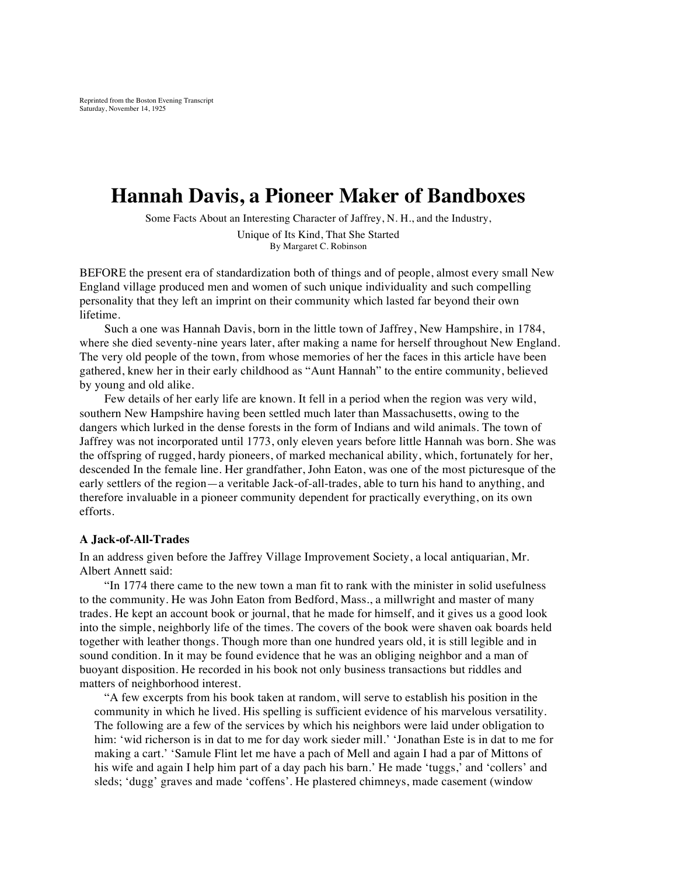# **Hannah Davis, a Pioneer Maker of Bandboxes**

Some Facts About an Interesting Character of Jaffrey, N. H., and the Industry,

Unique of Its Kind, That She Started By Margaret C. Robinson

BEFORE the present era of standardization both of things and of people, almost every small New England village produced men and women of such unique individuality and such compelling personality that they left an imprint on their community which lasted far beyond their own lifetime.

Such a one was Hannah Davis, born in the little town of Jaffrey, New Hampshire, in 1784, where she died seventy-nine years later, after making a name for herself throughout New England. The very old people of the town, from whose memories of her the faces in this article have been gathered, knew her in their early childhood as "Aunt Hannah" to the entire community, believed by young and old alike.

Few details of her early life are known. It fell in a period when the region was very wild, southern New Hampshire having been settled much later than Massachusetts, owing to the dangers which lurked in the dense forests in the form of Indians and wild animals. The town of Jaffrey was not incorporated until 1773, only eleven years before little Hannah was born. She was the offspring of rugged, hardy pioneers, of marked mechanical ability, which, fortunately for her, descended In the female line. Her grandfather, John Eaton, was one of the most picturesque of the early settlers of the region—a veritable Jack-of-all-trades, able to turn his hand to anything, and therefore invaluable in a pioneer community dependent for practically everything, on its own efforts.

#### **A Jack-of-All-Trades**

In an address given before the Jaffrey Village Improvement Society, a local antiquarian, Mr. Albert Annett said:

"In 1774 there came to the new town a man fit to rank with the minister in solid usefulness to the community. He was John Eaton from Bedford, Mass., a millwright and master of many trades. He kept an account book or journal, that he made for himself, and it gives us a good look into the simple, neighborly life of the times. The covers of the book were shaven oak boards held together with leather thongs. Though more than one hundred years old, it is still legible and in sound condition. In it may be found evidence that he was an obliging neighbor and a man of buoyant disposition. He recorded in his book not only business transactions but riddles and matters of neighborhood interest.

"A few excerpts from his book taken at random, will serve to establish his position in the community in which he lived. His spelling is sufficient evidence of his marvelous versatility. The following are a few of the services by which his neighbors were laid under obligation to him: 'wid richerson is in dat to me for day work sieder mill.' 'Jonathan Este is in dat to me for making a cart.' 'Samule Flint let me have a pach of Mell and again I had a par of Mittons of his wife and again I help him part of a day pach his barn.' He made 'tuggs,' and 'collers' and sleds; 'dugg' graves and made 'coffens'. He plastered chimneys, made casement (window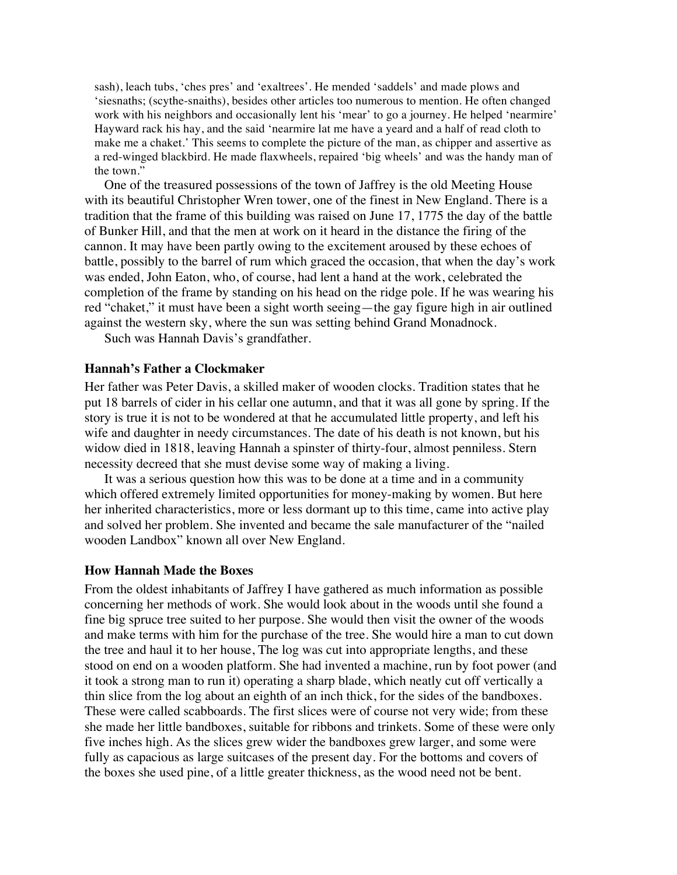sash), leach tubs, 'ches pres' and 'exaltrees'. He mended 'saddels' and made plows and 'siesnaths; (scythe-snaiths), besides other articles too numerous to mention. He often changed work with his neighbors and occasionally lent his 'mear' to go a journey. He helped 'nearmire' Hayward rack his hay, and the said 'nearmire lat me have a yeard and a half of read cloth to make me a chaket.' This seems to complete the picture of the man, as chipper and assertive as a red-winged blackbird. He made flaxwheels, repaired 'big wheels' and was the handy man of the town."

One of the treasured possessions of the town of Jaffrey is the old Meeting House with its beautiful Christopher Wren tower, one of the finest in New England. There is a tradition that the frame of this building was raised on June 17, 1775 the day of the battle of Bunker Hill, and that the men at work on it heard in the distance the firing of the cannon. It may have been partly owing to the excitement aroused by these echoes of battle, possibly to the barrel of rum which graced the occasion, that when the day's work was ended, John Eaton, who, of course, had lent a hand at the work, celebrated the completion of the frame by standing on his head on the ridge pole. If he was wearing his red "chaket," it must have been a sight worth seeing—the gay figure high in air outlined against the western sky, where the sun was setting behind Grand Monadnock.

Such was Hannah Davis's grandfather.

# **Hannah's Father a Clockmaker**

Her father was Peter Davis, a skilled maker of wooden clocks. Tradition states that he put 18 barrels of cider in his cellar one autumn, and that it was all gone by spring. If the story is true it is not to be wondered at that he accumulated little property, and left his wife and daughter in needy circumstances. The date of his death is not known, but his widow died in 1818, leaving Hannah a spinster of thirty-four, almost penniless. Stern necessity decreed that she must devise some way of making a living.

It was a serious question how this was to be done at a time and in a community which offered extremely limited opportunities for money-making by women. But here her inherited characteristics, more or less dormant up to this time, came into active play and solved her problem. She invented and became the sale manufacturer of the "nailed wooden Landbox" known all over New England.

## **How Hannah Made the Boxes**

From the oldest inhabitants of Jaffrey I have gathered as much information as possible concerning her methods of work. She would look about in the woods until she found a fine big spruce tree suited to her purpose. She would then visit the owner of the woods and make terms with him for the purchase of the tree. She would hire a man to cut down the tree and haul it to her house, The log was cut into appropriate lengths, and these stood on end on a wooden platform. She had invented a machine, run by foot power (and it took a strong man to run it) operating a sharp blade, which neatly cut off vertically a thin slice from the log about an eighth of an inch thick, for the sides of the bandboxes. These were called scabboards. The first slices were of course not very wide; from these she made her little bandboxes, suitable for ribbons and trinkets. Some of these were only five inches high. As the slices grew wider the bandboxes grew larger, and some were fully as capacious as large suitcases of the present day. For the bottoms and covers of the boxes she used pine, of a little greater thickness, as the wood need not be bent.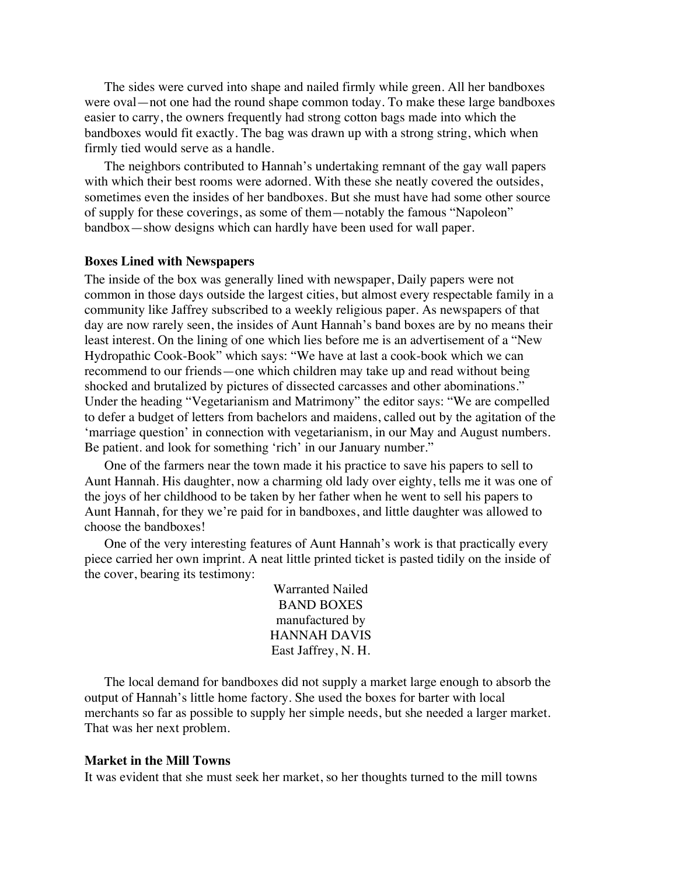The sides were curved into shape and nailed firmly while green. All her bandboxes were oval—not one had the round shape common today. To make these large bandboxes easier to carry, the owners frequently had strong cotton bags made into which the bandboxes would fit exactly. The bag was drawn up with a strong string, which when firmly tied would serve as a handle.

The neighbors contributed to Hannah's undertaking remnant of the gay wall papers with which their best rooms were adorned. With these she neatly covered the outsides, sometimes even the insides of her bandboxes. But she must have had some other source of supply for these coverings, as some of them—notably the famous "Napoleon" bandbox—show designs which can hardly have been used for wall paper.

## **Boxes Lined with Newspapers**

The inside of the box was generally lined with newspaper, Daily papers were not common in those days outside the largest cities, but almost every respectable family in a community like Jaffrey subscribed to a weekly religious paper. As newspapers of that day are now rarely seen, the insides of Aunt Hannah's band boxes are by no means their least interest. On the lining of one which lies before me is an advertisement of a "New Hydropathic Cook-Book" which says: "We have at last a cook-book which we can recommend to our friends—one which children may take up and read without being shocked and brutalized by pictures of dissected carcasses and other abominations." Under the heading "Vegetarianism and Matrimony" the editor says: "We are compelled to defer a budget of letters from bachelors and maidens, called out by the agitation of the 'marriage question' in connection with vegetarianism, in our May and August numbers. Be patient. and look for something 'rich' in our January number."

One of the farmers near the town made it his practice to save his papers to sell to Aunt Hannah. His daughter, now a charming old lady over eighty, tells me it was one of the joys of her childhood to be taken by her father when he went to sell his papers to Aunt Hannah, for they we're paid for in bandboxes, and little daughter was allowed to choose the bandboxes!

One of the very interesting features of Aunt Hannah's work is that practically every piece carried her own imprint. A neat little printed ticket is pasted tidily on the inside of the cover, bearing its testimony:

> Warranted Nailed BAND BOXES manufactured by HANNAH DAVIS East Jaffrey, N. H.

The local demand for bandboxes did not supply a market large enough to absorb the output of Hannah's little home factory. She used the boxes for barter with local merchants so far as possible to supply her simple needs, but she needed a larger market. That was her next problem.

### **Market in the Mill Towns**

It was evident that she must seek her market, so her thoughts turned to the mill towns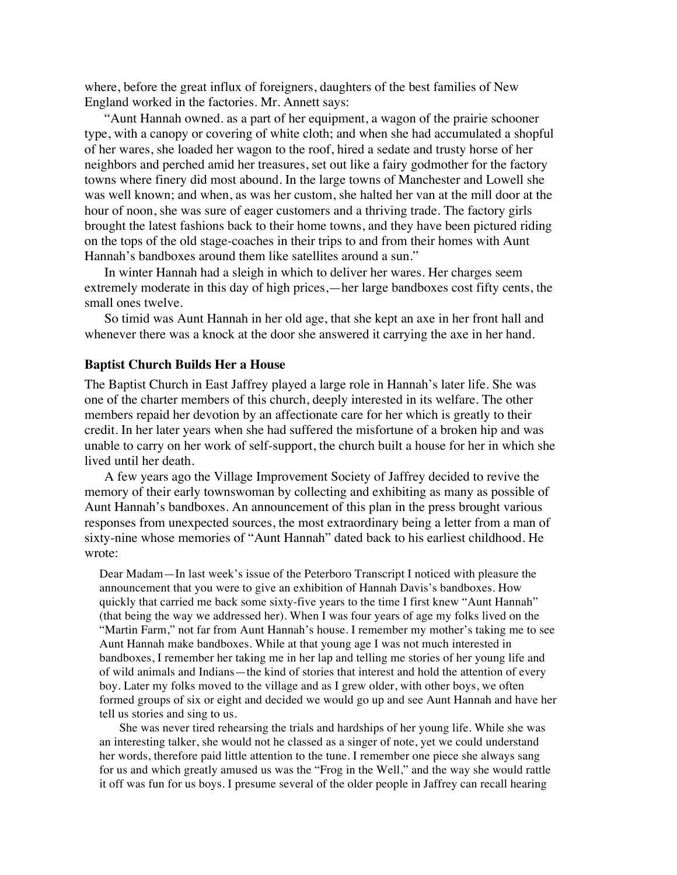where, before the great influx of foreigners, daughters of the best families of New England worked in the factories. Mr. Annett says:

"Aunt Hannah owned. as a part of her equipment, a wagon of the prairie schooner type, with a canopy or covering of white cloth; and when she had accumulated a shopful of her wares, she loaded her wagon to the roof, hired a sedate and trusty horse of her neighbors and perched amid her treasures, set out like a fairy godmother for the factory towns where finery did most abound. In the large towns of Manchester and Lowell she was well known; and when, as was her custom, she halted her van at the mill door at the hour of noon, she was sure of eager customers and a thriving trade. The factory girls brought the latest fashions back to their home towns, and they have been pictured riding on the tops of the old stage-coaches in their trips to and from their homes with Aunt Hannah's bandboxes around them like satellites around a sun."

In winter Hannah had a sleigh in which to deliver her wares. Her charges seem extremely moderate in this day of high prices,—her large bandboxes cost fifty cents, the small ones twelve.

So timid was Aunt Hannah in her old age, that she kept an axe in her front hall and whenever there was a knock at the door she answered it carrying the axe in her hand.

## **Baptist Church Builds Her a House**

The Baptist Church in East Jaffrey played a large role in Hannah's later life. She was one of the charter members of this church, deeply interested in its welfare. The other members repaid her devotion by an affectionate care for her which is greatly to their credit. In her later years when she had suffered the misfortune of a broken hip and was unable to carry on her work of self-support, the church built a house for her in which she lived until her death.

A few years ago the Village Improvement Society of Jaffrey decided to revive the memory of their early townswoman by collecting and exhibiting as many as possible of Aunt Hannah's bandboxes. An announcement of this plan in the press brought various responses from unexpected sources, the most extraordinary being a letter from a man of sixty-nine whose memories of "Aunt Hannah" dated back to his earliest childhood. He wrote:

Dear Madam—In last week's issue of the Peterboro Transcript I noticed with pleasure the announcement that you were to give an exhibition of Hannah Davis's bandboxes. How quickly that carried me back some sixty-five years to the time I first knew "Aunt Hannah" (that being the way we addressed her). When I was four years of age my folks lived on the "Martin Farm," not far from Aunt Hannah's house. I remember my mother's taking me to see Aunt Hannah make bandboxes. While at that young age I was not much interested in bandboxes, I remember her taking me in her lap and telling me stories of her young life and of wild animals and Indians—the kind of stories that interest and hold the attention of every boy. Later my folks moved to the village and as I grew older, with other boys, we often formed groups of six or eight and decided we would go up and see Aunt Hannah and have her tell us stories and sing to us.

She was never tired rehearsing the trials and hardships of her young life. While she was an interesting talker, she would not he classed as a singer of note, yet we could understand her words, therefore paid little attention to the tune. I remember one piece she always sang for us and which greatly amused us was the "Frog in the Well," and the way she would rattle it off was fun for us boys. I presume several of the older people in Jaffrey can recall hearing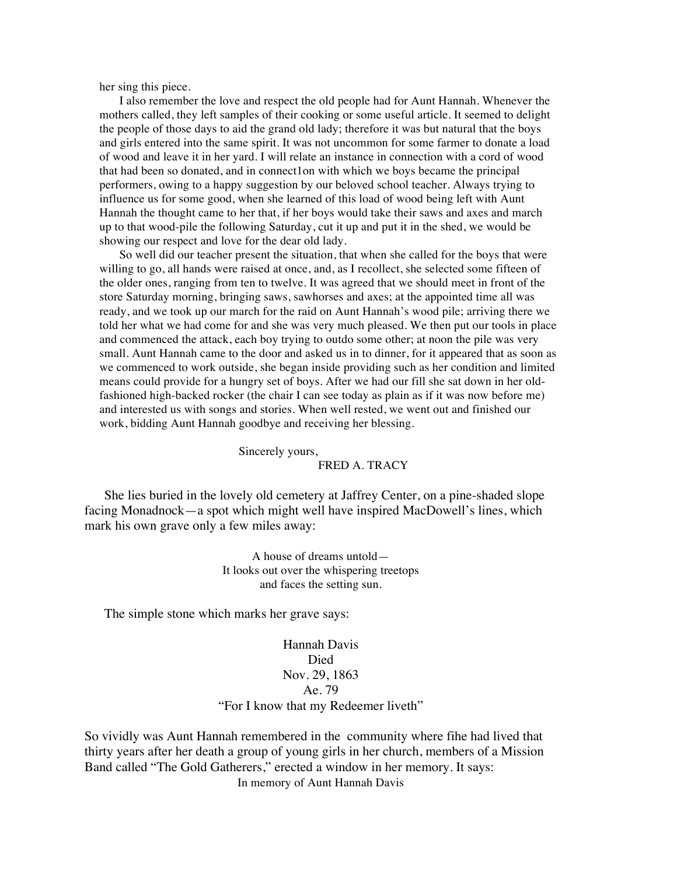her sing this piece.

I also remember the love and respect the old people had for Aunt Hannah. Whenever the mothers called, they left samples of their cooking or some useful article. It seemed to delight the people of those days to aid the grand old lady; therefore it was but natural that the boys and girls entered into the same spirit. It was not uncommon for some farmer to donate a load of wood and leave it in her yard. I will relate an instance in connection with a cord of wood that had been so donated, and in connect1on with which we boys became the principal performers, owing to a happy suggestion by our beloved school teacher. Always trying to influence us for some good, when she learned of this load of wood being left with Aunt Hannah the thought came to her that, if her boys would take their saws and axes and march up to that wood-pile the following Saturday, cut it up and put it in the shed, we would be showing our respect and love for the dear old lady.

So well did our teacher present the situation, that when she called for the boys that were willing to go, all hands were raised at once, and, as I recollect, she selected some fifteen of the older ones, ranging from ten to twelve. It was agreed that we should meet in front of the store Saturday morning, bringing saws, sawhorses and axes; at the appointed time all was ready, and we took up our march for the raid on Aunt Hannah's wood pile; arriving there we told her what we had come for and she was very much pleased. We then put our tools in place and commenced the attack, each boy trying to outdo some other; at noon the pile was very small. Aunt Hannah came to the door and asked us in to dinner, for it appeared that as soon as we commenced to work outside, she began inside providing such as her condition and limited means could provide for a hungry set of boys. After we had our fill she sat down in her oldfashioned high-backed rocker (the chair I can see today as plain as if it was now before me) and interested us with songs and stories. When well rested, we went out and finished our work, bidding Aunt Hannah goodbye and receiving her blessing.

Sincerely yours,

### FRED A. TRACY

She lies buried in the lovely old cemetery at Jaffrey Center, on a pine-shaded slope facing Monadnock—a spot which might well have inspired MacDowell's lines, which mark his own grave only a few miles away:

> A house of dreams untold— It looks out over the whispering treetops and faces the setting sun.

The simple stone which marks her grave says:

Hannah Davis **Died** Nov. 29, 1863 Ae. 79 "For I know that my Redeemer liveth"

So vividly was Aunt Hannah remembered in the community where fihe had lived that thirty years after her death a group of young girls in her church, members of a Mission Band called "The Gold Gatherers," erected a window in her memory. It says: In memory of Aunt Hannah Davis